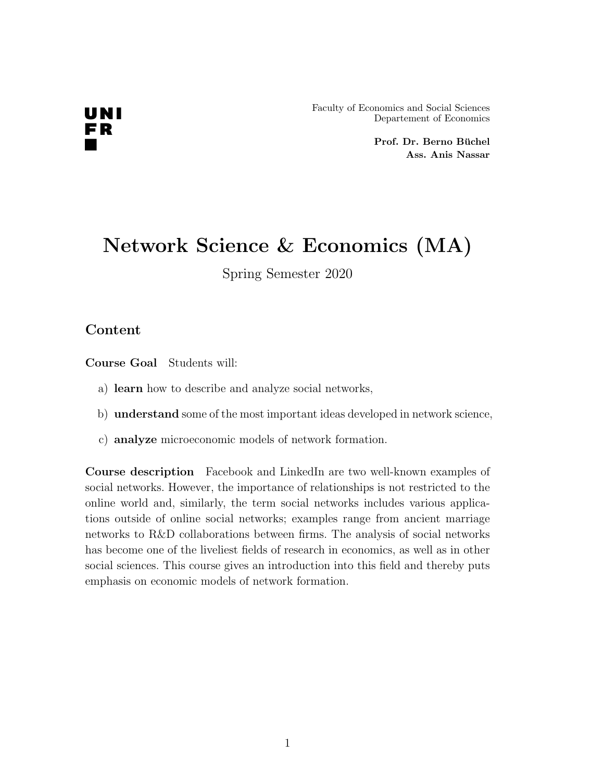# UNI FR

Faculty of Economics and Social Sciences Departement of Economics

> Prof. Dr. Berno Büchel Ass. Anis Nassar

## Network Science & Economics (MA)

Spring Semester 2020

#### Content

Course Goal Students will:

- a) learn how to describe and analyze social networks,
- b) understand some of the most important ideas developed in network science,
- c) analyze microeconomic models of network formation.

Course description Facebook and LinkedIn are two well-known examples of social networks. However, the importance of relationships is not restricted to the online world and, similarly, the term social networks includes various applications outside of online social networks; examples range from ancient marriage networks to R&D collaborations between firms. The analysis of social networks has become one of the liveliest fields of research in economics, as well as in other social sciences. This course gives an introduction into this field and thereby puts emphasis on economic models of network formation.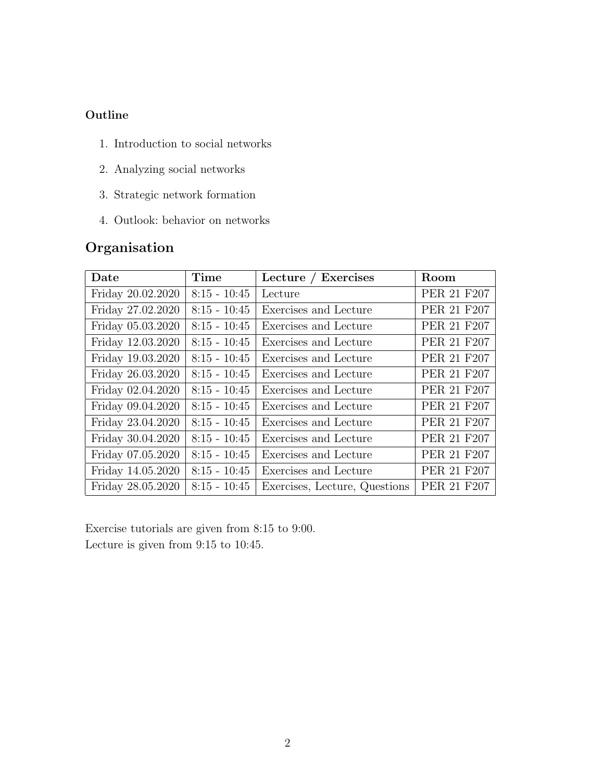#### **Outline**

- 1. Introduction to social networks
- 2. Analyzing social networks
- 3. Strategic network formation
- 4. Outlook: behavior on networks

### Organisation

| Date              | Time           | Lecture / Exercises           | Room        |
|-------------------|----------------|-------------------------------|-------------|
| Friday 20.02.2020 | $8:15 - 10:45$ | Lecture                       | PER 21 F207 |
| Friday 27.02.2020 | $8:15 - 10:45$ | Exercises and Lecture         | PER 21 F207 |
| Friday 05.03.2020 | $8:15 - 10:45$ | Exercises and Lecture         | PER 21 F207 |
| Friday 12.03.2020 | $8:15 - 10:45$ | Exercises and Lecture         | PER 21 F207 |
| Friday 19.03.2020 | $8:15 - 10:45$ | Exercises and Lecture         | PER 21 F207 |
| Friday 26.03.2020 | $8:15 - 10:45$ | Exercises and Lecture         | PER 21 F207 |
| Friday 02.04.2020 | $8:15 - 10:45$ | Exercises and Lecture         | PER 21 F207 |
| Friday 09.04.2020 | $8:15 - 10:45$ | Exercises and Lecture         | PER 21 F207 |
| Friday 23.04.2020 | $8:15 - 10:45$ | Exercises and Lecture         | PER 21 F207 |
| Friday 30.04.2020 | $8:15 - 10:45$ | Exercises and Lecture         | PER 21 F207 |
| Friday 07.05.2020 | $8:15 - 10:45$ | Exercises and Lecture         | PER 21 F207 |
| Friday 14.05.2020 | $8:15 - 10:45$ | Exercises and Lecture         | PER 21 F207 |
| Friday 28.05.2020 | $8:15 - 10:45$ | Exercises, Lecture, Questions | PER 21 F207 |

Exercise tutorials are given from 8:15 to 9:00. Lecture is given from 9:15 to 10:45.